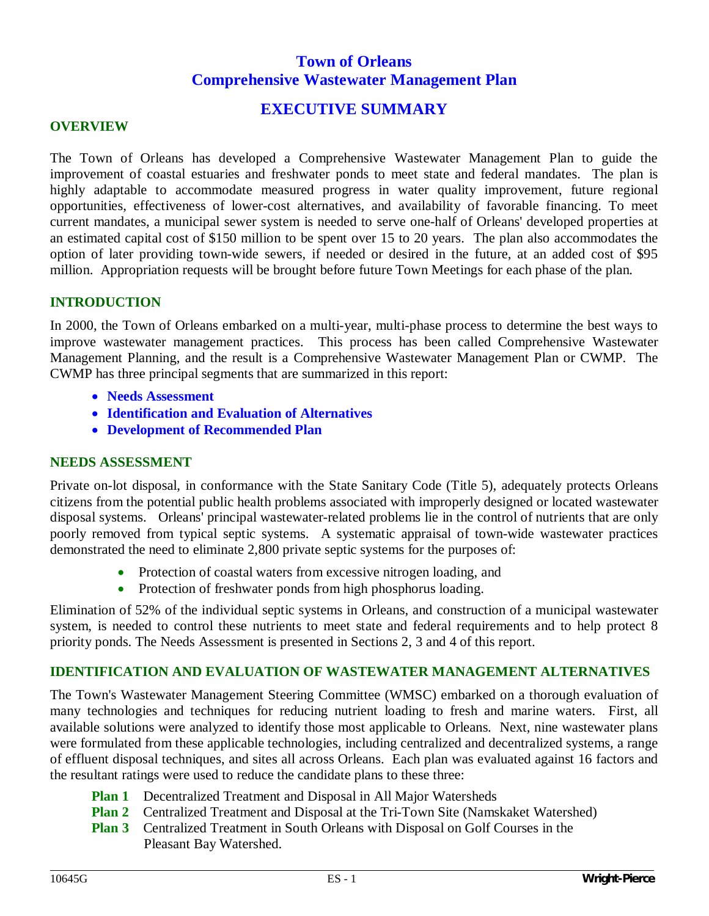# **Town of Orleans Comprehensive Wastewater Management Plan**

## **EXECUTIVE SUMMARY**

#### **OVERVIEW**

The Town of Orleans has developed a Comprehensive Wastewater Management Plan to guide the improvement of coastal estuaries and freshwater ponds to meet state and federal mandates. The plan is highly adaptable to accommodate measured progress in water quality improvement, future regional opportunities, effectiveness of lower-cost alternatives, and availability of favorable financing. To meet current mandates, a municipal sewer system is needed to serve one-half of Orleans' developed properties at an estimated capital cost of \$150 million to be spent over 15 to 20 years. The plan also accommodates the option of later providing town-wide sewers, if needed or desired in the future, at an added cost of \$95 million. Appropriation requests will be brought before future Town Meetings for each phase of the plan.

#### **INTRODUCTION**

In 2000, the Town of Orleans embarked on a multi-year, multi-phase process to determine the best ways to improve wastewater management practices. This process has been called Comprehensive Wastewater Management Planning, and the result is a Comprehensive Wastewater Management Plan or CWMP. The CWMP has three principal segments that are summarized in this report:

- x **Needs Assessment**
- x **Identification and Evaluation of Alternatives**
- **Development of Recommended Plan**

#### **NEEDS ASSESSMENT**

Private on-lot disposal, in conformance with the State Sanitary Code (Title 5), adequately protects Orleans citizens from the potential public health problems associated with improperly designed or located wastewater disposal systems. Orleans' principal wastewater-related problems lie in the control of nutrients that are only poorly removed from typical septic systems. A systematic appraisal of town-wide wastewater practices demonstrated the need to eliminate 2,800 private septic systems for the purposes of:

- Protection of coastal waters from excessive nitrogen loading, and
- Protection of freshwater ponds from high phosphorus loading.

Elimination of 52% of the individual septic systems in Orleans, and construction of a municipal wastewater system, is needed to control these nutrients to meet state and federal requirements and to help protect 8 priority ponds. The Needs Assessment is presented in Sections 2, 3 and 4 of this report.

#### **IDENTIFICATION AND EVALUATION OF WASTEWATER MANAGEMENT ALTERNATIVES**

The Town's Wastewater Management Steering Committee (WMSC) embarked on a thorough evaluation of many technologies and techniques for reducing nutrient loading to fresh and marine waters. First, all available solutions were analyzed to identify those most applicable to Orleans. Next, nine wastewater plans were formulated from these applicable technologies, including centralized and decentralized systems, a range of effluent disposal techniques, and sites all across Orleans. Each plan was evaluated against 16 factors and the resultant ratings were used to reduce the candidate plans to these three:

- **Plan 1** Decentralized Treatment and Disposal in All Major Watersheds
- **Plan 2** Centralized Treatment and Disposal at the Tri-Town Site (Namskaket Watershed)
- **Plan 3** Centralized Treatment in South Orleans with Disposal on Golf Courses in the Pleasant Bay Watershed.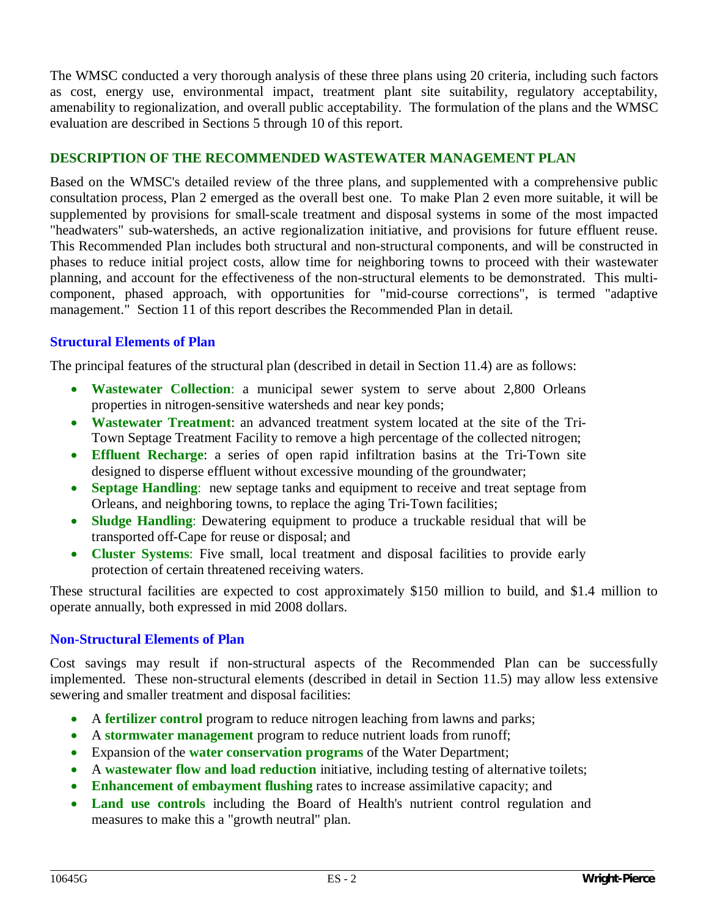The WMSC conducted a very thorough analysis of these three plans using 20 criteria, including such factors as cost, energy use, environmental impact, treatment plant site suitability, regulatory acceptability, amenability to regionalization, and overall public acceptability. The formulation of the plans and the WMSC evaluation are described in Sections 5 through 10 of this report.

#### **DESCRIPTION OF THE RECOMMENDED WASTEWATER MANAGEMENT PLAN**

Based on the WMSC's detailed review of the three plans, and supplemented with a comprehensive public consultation process, Plan 2 emerged as the overall best one. To make Plan 2 even more suitable, it will be supplemented by provisions for small-scale treatment and disposal systems in some of the most impacted "headwaters" sub-watersheds, an active regionalization initiative, and provisions for future effluent reuse. This Recommended Plan includes both structural and non-structural components, and will be constructed in phases to reduce initial project costs, allow time for neighboring towns to proceed with their wastewater planning, and account for the effectiveness of the non-structural elements to be demonstrated. This multicomponent, phased approach, with opportunities for "mid-course corrections", is termed "adaptive management." Section 11 of this report describes the Recommended Plan in detail.

## **Structural Elements of Plan**

The principal features of the structural plan (described in detail in Section 11.4) are as follows:

- Wastewater Collection: a municipal sewer system to serve about 2,800 Orleans properties in nitrogen-sensitive watersheds and near key ponds;
- Wastewater Treatment: an advanced treatment system located at the site of the Tri-Town Septage Treatment Facility to remove a high percentage of the collected nitrogen;
- **Effluent Recharge:** a series of open rapid infiltration basins at the Tri-Town site designed to disperse effluent without excessive mounding of the groundwater;
- **Septage Handling**: new septage tanks and equipment to receive and treat septage from Orleans, and neighboring towns, to replace the aging Tri-Town facilities;
- **Sludge Handling**: Dewatering equipment to produce a truckable residual that will be transported off-Cape for reuse or disposal; and
- Cluster Systems: Five small, local treatment and disposal facilities to provide early protection of certain threatened receiving waters.

These structural facilities are expected to cost approximately \$150 million to build, and \$1.4 million to operate annually, both expressed in mid 2008 dollars.

#### **Non-Structural Elements of Plan**

Cost savings may result if non-structural aspects of the Recommended Plan can be successfully implemented. These non-structural elements (described in detail in Section 11.5) may allow less extensive sewering and smaller treatment and disposal facilities:

- A **fertilizer control** program to reduce nitrogen leaching from lawns and parks;
- A **stormwater management** program to reduce nutrient loads from runoff;
- **Expansion of the water conservation programs** of the Water Department;
- A wastewater flow and load reduction initiative, including testing of alternative toilets;
- **Enhancement of embayment flushing** rates to increase assimilative capacity; and
- Land use controls including the Board of Health's nutrient control regulation and measures to make this a "growth neutral" plan.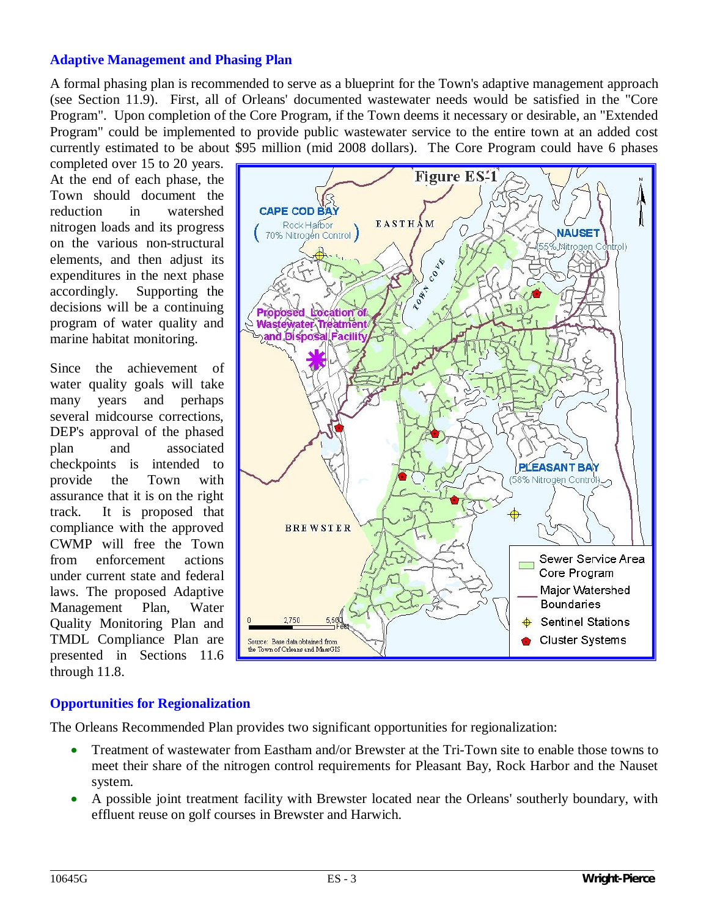## **Adaptive Management and Phasing Plan**

A formal phasing plan is recommended to serve as a blueprint for the Town's adaptive management approach (see Section 11.9). First, all of Orleans' documented wastewater needs would be satisfied in the "Core Program". Upon completion of the Core Program, if the Town deems it necessary or desirable, an "Extended Program" could be implemented to provide public wastewater service to the entire town at an added cost currently estimated to be about \$95 million (mid 2008 dollars). The Core Program could have 6 phases

completed over 15 to 20 years. At the end of each phase, the Town should document the reduction in watershed nitrogen loads and its progress on the various non-structural elements, and then adjust its expenditures in the next phase accordingly. Supporting the decisions will be a continuing program of water quality and marine habitat monitoring.

Since the achievement of water quality goals will take many years and perhaps several midcourse corrections, DEP's approval of the phased plan and associated checkpoints is intended to provide the Town with assurance that it is on the right track. It is proposed that compliance with the approved CWMP will free the Town from enforcement actions under current state and federal laws. The proposed Adaptive Management Plan, Water Quality Monitoring Plan and TMDL Compliance Plan are presented in Sections 11.6 through 11.8.



#### **Opportunities for Regionalization**

The Orleans Recommended Plan provides two significant opportunities for regionalization:

- Treatment of wastewater from Eastham and/or Brewster at the Tri-Town site to enable those towns to meet their share of the nitrogen control requirements for Pleasant Bay, Rock Harbor and the Nauset system.
- x A possible joint treatment facility with Brewster located near the Orleans' southerly boundary, with effluent reuse on golf courses in Brewster and Harwich.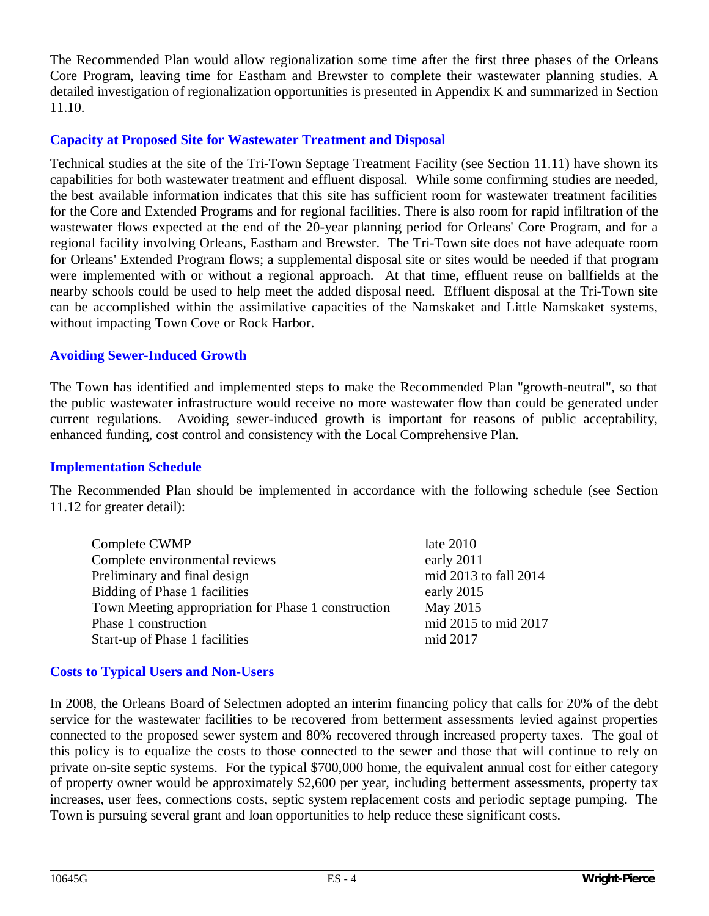The Recommended Plan would allow regionalization some time after the first three phases of the Orleans Core Program, leaving time for Eastham and Brewster to complete their wastewater planning studies. A detailed investigation of regionalization opportunities is presented in Appendix K and summarized in Section 11.10.

## **Capacity at Proposed Site for Wastewater Treatment and Disposal**

Technical studies at the site of the Tri-Town Septage Treatment Facility (see Section 11.11) have shown its capabilities for both wastewater treatment and effluent disposal. While some confirming studies are needed, the best available information indicates that this site has sufficient room for wastewater treatment facilities for the Core and Extended Programs and for regional facilities. There is also room for rapid infiltration of the wastewater flows expected at the end of the 20-year planning period for Orleans' Core Program, and for a regional facility involving Orleans, Eastham and Brewster. The Tri-Town site does not have adequate room for Orleans' Extended Program flows; a supplemental disposal site or sites would be needed if that program were implemented with or without a regional approach. At that time, effluent reuse on ballfields at the nearby schools could be used to help meet the added disposal need. Effluent disposal at the Tri-Town site can be accomplished within the assimilative capacities of the Namskaket and Little Namskaket systems, without impacting Town Cove or Rock Harbor.

## **Avoiding Sewer-Induced Growth**

The Town has identified and implemented steps to make the Recommended Plan "growth-neutral", so that the public wastewater infrastructure would receive no more wastewater flow than could be generated under current regulations. Avoiding sewer-induced growth is important for reasons of public acceptability, enhanced funding, cost control and consistency with the Local Comprehensive Plan.

#### **Implementation Schedule**

The Recommended Plan should be implemented in accordance with the following schedule (see Section 11.12 for greater detail):

| Complete CWMP                                       | late $2010$           |
|-----------------------------------------------------|-----------------------|
| Complete environmental reviews                      | early 2011            |
| Preliminary and final design                        | mid 2013 to fall 2014 |
| Bidding of Phase 1 facilities                       | early 2015            |
| Town Meeting appropriation for Phase 1 construction | May 2015              |
| Phase 1 construction                                | mid 2015 to mid 2017  |
| Start-up of Phase 1 facilities                      | mid 2017              |

#### **Costs to Typical Users and Non-Users**

In 2008, the Orleans Board of Selectmen adopted an interim financing policy that calls for 20% of the debt service for the wastewater facilities to be recovered from betterment assessments levied against properties connected to the proposed sewer system and 80% recovered through increased property taxes. The goal of this policy is to equalize the costs to those connected to the sewer and those that will continue to rely on private on-site septic systems. For the typical \$700,000 home, the equivalent annual cost for either category of property owner would be approximately \$2,600 per year, including betterment assessments, property tax increases, user fees, connections costs, septic system replacement costs and periodic septage pumping. The Town is pursuing several grant and loan opportunities to help reduce these significant costs.